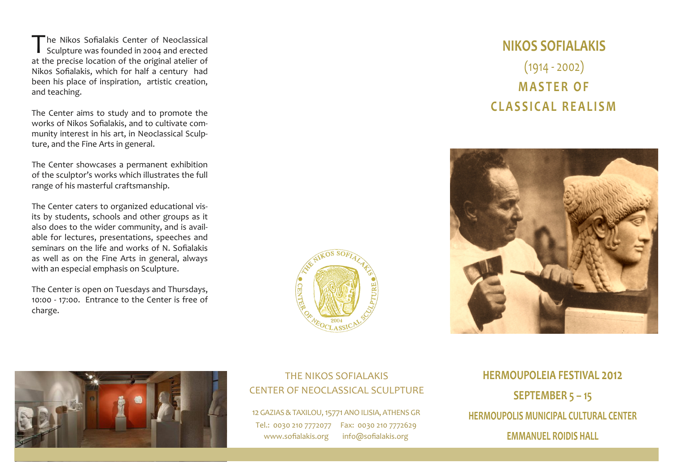The Nikos Sofialakis Center of Neoclassical<br>Sculpture was founded in 2004 and erected at the precise location of the original atelier of Nikos Sofialakis, which for half <sup>a</sup> century had been his place of inspiration, artistic creation, and teaching.

The Center aims to study and to promote the works of Nikos Sofialakis, and to cultivate com‐ munity interest in his art, in Neoclassical Sculp‐ ture, and the Fine Arts in general.

The Center showcases <sup>a</sup> permanen<sup>t</sup> exhibition of the sculptor's works which illustrates the full range of his masterful craftsmanship.

The Center caters to organized educational vis‐ its by students, schools and other groups as it also does to the wider community, and is avail‐ able for lectures, presentations, speeches and seminars on the life and works of N. Sofialakis as well as on the Fine Arts in general, always with an especial emphasis on Sculpture.

The Center is open on Tuesdays and Thursdays, 10:00 ‐ 17:00. Entrance to the Center is free of charge.









### THE NIKOS SOFIALAKIS CENTER OF NEOCLASSICAL SCULPTURE

12 GAZIAS & TAXILOU, 15771 ANO ILISIA, ATHENS GR Tel.: 0030 <sup>210</sup> 7772077 Fax: 0030 <sup>210</sup> 7772629 www.sofialakis.org info@sofialakis.org

**HERMOUPOLEIA FESTIVAL 2012 SEPTEMBER 5 – 15 HERMOUPOLIS MUNICIPAL CULTURAL CENTEREMMANUEL ROIDIS HALL**